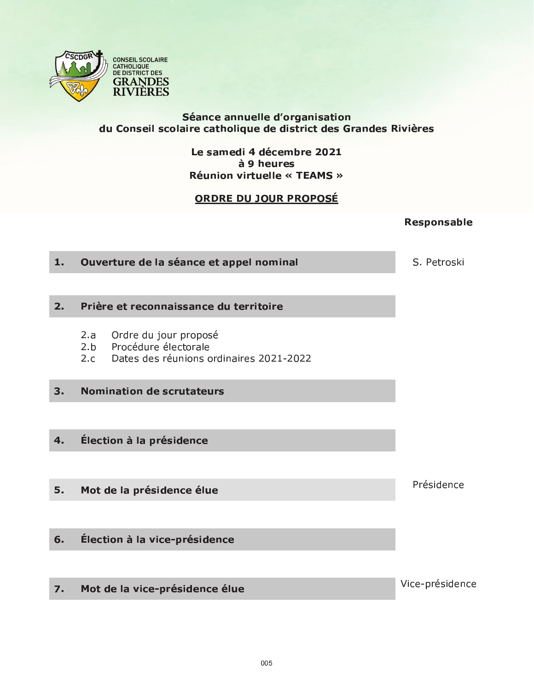

# Séance annuelle d'organisation<br>du Conseil scolaire catholique de district des Grandes Rivières

Le samedi 4 décembre 2021 à 9 heures **Réunion virtuelle « TEAMS »** 

# ORDRE DU JOUR PROPOSÉ

**Responsable** 

| 1.               | Ouverture de la séance et appel nominal                                                                 | S. Petroski     |
|------------------|---------------------------------------------------------------------------------------------------------|-----------------|
|                  |                                                                                                         |                 |
| 2.               | Prière et reconnaissance du territoire                                                                  |                 |
|                  | Ordre du jour proposé<br>2.a<br>2.b Procédure électorale<br>2.c Dates des réunions ordinaires 2021-2022 |                 |
| 3.               | <b>Nomination de scrutateurs</b>                                                                        |                 |
|                  |                                                                                                         |                 |
| 4.               | Élection à la présidence                                                                                |                 |
|                  |                                                                                                         |                 |
| 5.               | Mot de la présidence élue                                                                               | Présidence      |
|                  |                                                                                                         |                 |
| 6.               | Élection à la vice-présidence                                                                           |                 |
|                  |                                                                                                         |                 |
| $\overline{7}$ . | Mot de la vice-présidence élue                                                                          | Vice-présidence |